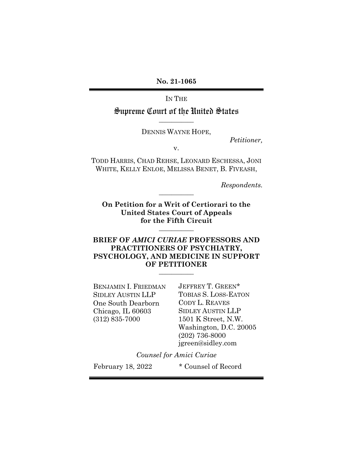**No. 21-1065** 

IN THE

Supreme Court of the United States **\_\_\_\_\_\_\_\_\_\_\_** 

DENNIS WAYNE HOPE,

*Petitioner,* 

v.

TODD HARRIS, CHAD REHSE, LEONARD ESCHESSA, JONI WHITE, KELLY ENLOE, MELISSA BENET, B. FIVEASH,

*Respondents.* 

**On Petition for a Writ of Certiorari to the United States Court of Appeals for the Fifth Circuit** 

**\_\_\_\_\_\_\_\_\_\_\_** 

**\_\_\_\_\_\_\_\_\_\_\_** 

### **BRIEF OF** *AMICI CURIAE* **PROFESSORS AND PRACTITIONERS OF PSYCHIATRY, PSYCHOLOGY, AND MEDICINE IN SUPPORT OF PETITIONER \_\_\_\_\_\_\_\_\_\_\_**

BENJAMIN I. FRIEDMAN JEFFREY T. GREEN\* One South Dearborn CODY L. REAVES Chicago, IL 60603 SIDLEY AUSTIN LLP (312) 835-7000 1501 K Street, N.W.

SIDLEY AUSTIN LLP TOBIAS S. LOSS-EATON Washington, D.C. 20005 (202) 736-8000 jgreen@sidley.com

*Counsel for Amici Curiae* 

February 18, 2022 \* Counsel of Record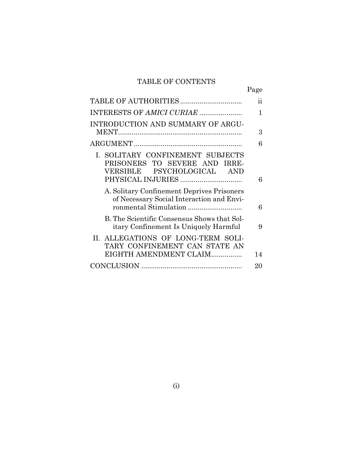## TABLE OF CONTENTS

Page

|                                             | ii |
|---------------------------------------------|----|
| INTERESTS OF AMICI CURIAE                   | 1  |
| INTRODUCTION AND SUMMARY OF ARGU-           |    |
|                                             | 3  |
|                                             | 6  |
| I. SOLITARY CONFINEMENT SUBJECTS            |    |
| PRISONERS TO SEVERE AND IRRE-               |    |
| VERSIBLE PSYCHOLOGICAL AND                  |    |
| PHYSICAL INJURIES                           | 6  |
| A. Solitary Confinement Deprives Prisoners  |    |
| of Necessary Social Interaction and Envi-   |    |
| ronmental Stimulation                       | 6  |
| B. The Scientific Consensus Shows that Sol- |    |
| itary Confinement Is Uniquely Harmful       | 9  |
| II. ALLEGATIONS OF LONG-TERM SOLI-          |    |
| TARY CONFINEMENT CAN STATE AN               |    |
| EIGHTH AMENDMENT CLAIM                      | 14 |
|                                             | 20 |
|                                             |    |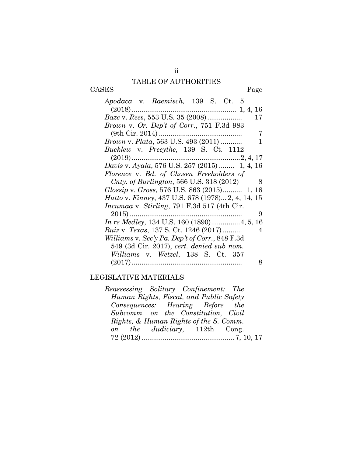## TABLE OF AUTHORITIES

CASES Page

| Apodaca v. Raemisch, 139 S. Ct. 5                              |
|----------------------------------------------------------------|
|                                                                |
| Baze v. Rees, 553 U.S. 35 (2008)<br>17                         |
| Brown v. Or. Dep't of Corr., 751 F.3d 983                      |
| 7                                                              |
| <i>Brown v. Plata,</i> 563 U.S. 493 (2011)<br>ı                |
| <i>Bucklew v. Precythe, 139 S. Ct. 1112</i>                    |
|                                                                |
| Davis v. Ayala, 576 U.S. 257 (2015)  1, 4, 16                  |
| Florence v. Bd. of Chosen Freeholders of                       |
| <i>Cnty.</i> of <i>Burlington</i> , 566 U.S. 318 $(2012)$<br>8 |
| Glossip v. Gross, 576 U.S. 863 (2015) 1, 16                    |
| <i>Hutto v. Finney, 437 U.S. 678 (1978) 2, 4, 14, 15</i>       |
| <i>Incumaa v. Stirling, 791 F.3d 517 (4th Cir.</i>             |
| 9                                                              |
| In re Medley, 134 U.S. 160 (1890)4, 5, 16                      |
| <i>Ruiz v. Texas, 137 S. Ct. 1246 (2017) </i><br>4             |
| Williams v. Sec'y Pa. Dep't of Corr., 848 F.3d                 |
| 549 (3d Cir. 2017), cert. denied sub nom.                      |
| Williams v. Wetzel, 138 S. Ct. 357                             |
| 8                                                              |

## LEGISLATIVE MATERIALS

| Reassessing Solitary Confinement: The |                                         |  |
|---------------------------------------|-----------------------------------------|--|
|                                       | Human Rights, Fiscal, and Public Safety |  |
|                                       | Consequences: Hearing Before the        |  |
|                                       | Subcomm. on the Constitution. Civil     |  |
|                                       | Rights, & Human Rights of the S. Comm.  |  |
|                                       | on the Judiciary, 112th Cong.           |  |
|                                       |                                         |  |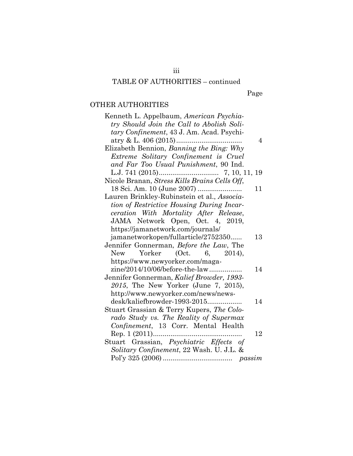# TABLE OF AUTHORITIES – continued

iii

Page

## OTHER AUTHORITIES

| Kenneth L. Appelbaum, American Psychia-        |
|------------------------------------------------|
| try Should Join the Call to Abolish Soli-      |
| tary Confinement, 43 J. Am. Acad. Psychi-      |
| 4                                              |
| Elizabeth Bennion, Banning the Bing: Why       |
| Extreme Solitary Confinement is Cruel          |
| and Far Too Usual Punishment, 90 Ind.          |
| 7, 10, 11, 19                                  |
| Nicole Branan, Stress Kills Brains Cells Off,  |
| 11                                             |
| Lauren Brinkley-Rubinstein et al., Associa-    |
| tion of Restrictive Housing During Incar-      |
| ceration With Mortality After Release,         |
|                                                |
| JAMA Network Open, Oct. 4, 2019,               |
| https://jamanetwork.com/journals/              |
| jamanetworkopen/fullarticle/2752350<br>13      |
| Jennifer Gonnerman, Before the Law, The        |
| Yorker (Oct. 6, 2014),<br><b>New</b>           |
| https://www.newyorker.com/maga-                |
| zine/2014/10/06/before-the-law<br>14           |
| Jennifer Gonnerman, Kalief Browder, 1993-      |
| 2015, The New Yorker (June 7, 2015),           |
| http://www.newyorker.com/news/news-            |
| desk/kaliefbrowder-1993-2015<br>14             |
| Stuart Grassian & Terry Kupers, The Colo-      |
| rado Study vs. The Reality of Supermax         |
| Confinement, 13 Corr. Mental Health            |
|                                                |
| $\text{Rep. 1 (2011)} \dots \dots \dots$<br>12 |
| Stuart Grassian, Psychiatric Effects of        |
| Solitary Confinement, 22 Wash. U. J.L. &       |
|                                                |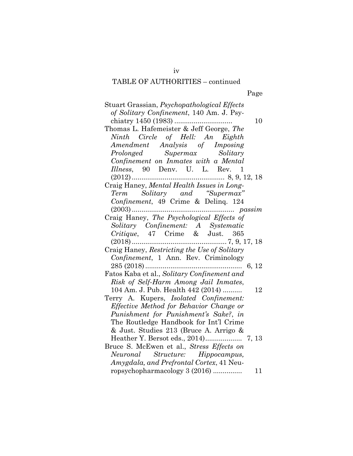## TABLE OF AUTHORITIES – continued

| Stuart Grassian, Psychopathological Effects  |
|----------------------------------------------|
| of Solitary Confinement, 140 Am. J. Psy-     |
| 10                                           |
| Thomas L. Hafemeister & Jeff George, The     |
| Ninth Circle of Hell: An Eighth              |
| Amendment Analysis of Imposing               |
| Prolonged Supermax Solitary                  |
| Confinement on Inmates with a Mental         |
| Illness, 90 Denv. U. L. Rev. 1               |
|                                              |
| Craig Haney, Mental Health Issues in Long-   |
| Term Solitary and "Supermax"                 |
| Confinement, 49 Crime & Deling. 124          |
|                                              |
| Craig Haney, The Psychological Effects of    |
|                                              |
| Solitary Confinement: A Systematic           |
| Critique, 47 Crime & Just. 365               |
|                                              |
| Craig Haney, Restricting the Use of Solitary |
| Confinement, 1 Ann. Rev. Criminology         |
| 6, 12                                        |
| Fatos Kaba et al., Solitary Confinement and  |
| Risk of Self-Harm Among Jail Inmates,        |
| 104 Am. J. Pub. Health 442 (2014)<br>12      |
| Terry A. Kupers, Isolated Confinement:       |
| Effective Method for Behavior Change or      |
| Punishment for Punishment's Sake?, in        |
| The Routledge Handbook for Int'l Crime       |
| & Just. Studies 213 (Bruce A. Arrigo &       |
|                                              |
| Bruce S. McEwen et al., Stress Effects on    |
| Neuronal Structure: Hippocampus,             |
| Amygdala, and Prefrontal Cortex, 41 Neu-     |
| ropsychopharmacology 3 (2016)<br>11          |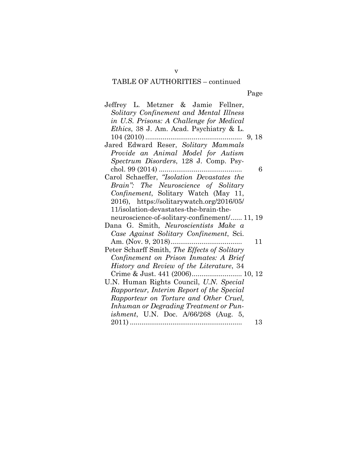# TABLE OF AUTHORITIES – continued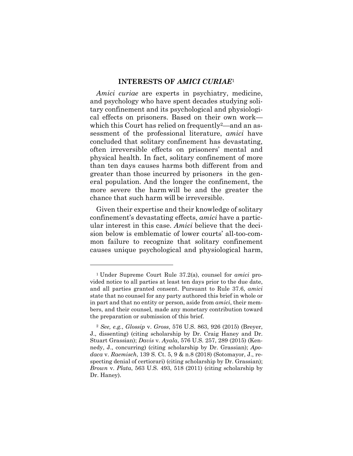#### **INTERESTS OF** *AMICI CURIAE*<sup>1</sup>

*Amici curiae* are experts in psychiatry, medicine, and psychology who have spent decades studying solitary confinement and its psychological and physiological effects on prisoners. Based on their own work which this Court has relied on frequently<sup>2</sup>—and an assessment of the professional literature, *amici* have concluded that solitary confinement has devastating, often irreversible effects on prisoners' mental and physical health. In fact, solitary confinement of more than ten days causes harms both different from and greater than those incurred by prisoners in the general population. And the longer the confinement, the more severe the harm will be and the greater the chance that such harm will be irreversible.

Given their expertise and their knowledge of solitary confinement's devastating effects, *amici* have a particular interest in this case. *Amici* believe that the decision below is emblematic of lower courts' all-too-common failure to recognize that solitary confinement causes unique psychological and physiological harm,

<sup>1</sup> Under Supreme Court Rule 37.2(a), counsel for *amici* provided notice to all parties at least ten days prior to the due date, and all parties granted consent. Pursuant to Rule 37.6, *amici*  state that no counsel for any party authored this brief in whole or in part and that no entity or person, aside from *amici*, their members, and their counsel, made any monetary contribution toward the preparation or submission of this brief.

<sup>2</sup> *See, e.g.*, *Glossip* v. *Gross*, 576 U.S. 863, 926 (2015) (Breyer, J., dissenting) (citing scholarship by Dr. Craig Haney and Dr. Stuart Grassian); *Davis* v. *Ayala*, 576 U.S. 257, 289 (2015) (Kennedy, J., concurring) (citing scholarship by Dr. Grassian); *Apodaca* v. *Raemisch*, 139 S. Ct. 5, 9 & n.8 (2018) (Sotomayor, J., respecting denial of certiorari) (citing scholarship by Dr. Grassian); *Brown* v. *Plata*, 563 U.S. 493, 518 (2011) (citing scholarship by Dr. Haney).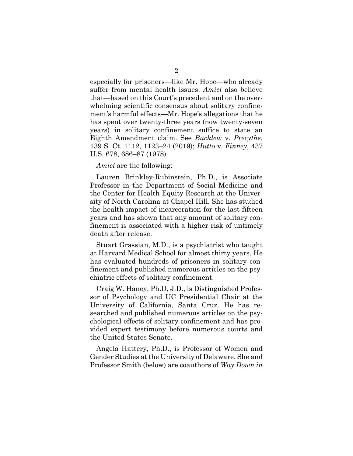especially for prisoners—like Mr. Hope—who already suffer from mental health issues. *Amici* also believe that—based on this Court's precedent and on the overwhelming scientific consensus about solitary confinement's harmful effects—Mr. Hope's allegations that he has spent over twenty-three years (now twenty-seven years) in solitary confinement suffice to state an Eighth Amendment claim. See *Bucklew* v. *Precythe*, 139 S. Ct. 1112, 1123–24 (2019); *Hutto* v. *Finney*, 437 U.S. 678, 686–87 (1978).

#### *Amici* are the following:

Lauren Brinkley-Rubinstein, Ph.D., is Associate Professor in the Department of Social Medicine and the Center for Health Equity Research at the University of North Carolina at Chapel Hill. She has studied the health impact of incarceration for the last fifteen years and has shown that any amount of solitary confinement is associated with a higher risk of untimely death after release.

Stuart Grassian, M.D., is a psychiatrist who taught at Harvard Medical School for almost thirty years. He has evaluated hundreds of prisoners in solitary confinement and published numerous articles on the psychiatric effects of solitary confinement.

Craig W. Haney, Ph.D, J.D., is Distinguished Professor of Psychology and UC Presidential Chair at the University of California, Santa Cruz. He has researched and published numerous articles on the psychological effects of solitary confinement and has provided expert testimony before numerous courts and the United States Senate.

Angela Hattery, Ph.D., is Professor of Women and Gender Studies at the University of Delaware. She and Professor Smith (below) are coauthors of *Way Down in*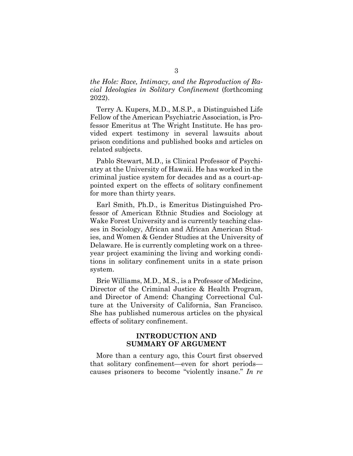*the Hole: Race, Intimacy, and the Reproduction of Racial Ideologies in Solitary Confinement* (forthcoming 2022).

Terry A. Kupers, M.D., M.S.P., a Distinguished Life Fellow of the American Psychiatric Association, is Professor Emeritus at The Wright Institute. He has provided expert testimony in several lawsuits about prison conditions and published books and articles on related subjects.

Pablo Stewart, M.D., is Clinical Professor of Psychiatry at the University of Hawaii. He has worked in the criminal justice system for decades and as a court-appointed expert on the effects of solitary confinement for more than thirty years.

Earl Smith, Ph.D., is Emeritus Distinguished Professor of American Ethnic Studies and Sociology at Wake Forest University and is currently teaching classes in Sociology, African and African American Studies, and Women & Gender Studies at the University of Delaware. He is currently completing work on a threeyear project examining the living and working conditions in solitary confinement units in a state prison system.

Brie Williams, M.D., M.S., is a Professor of Medicine, Director of the Criminal Justice & Health Program, and Director of Amend: Changing Correctional Culture at the University of California, San Francisco. She has published numerous articles on the physical effects of solitary confinement.

### **INTRODUCTION AND SUMMARY OF ARGUMENT**

More than a century ago, this Court first observed that solitary confinement—even for short periods causes prisoners to become "violently insane." *In re*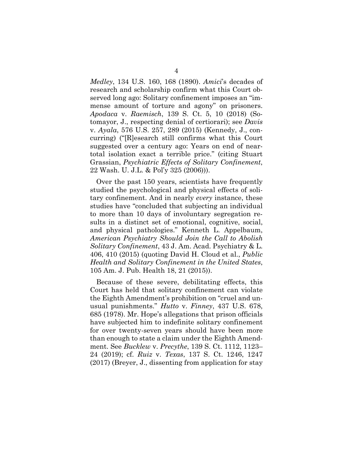*Medley*, 134 U.S. 160, 168 (1890). *Amici*'s decades of research and scholarship confirm what this Court observed long ago: Solitary confinement imposes an "immense amount of torture and agony" on prisoners. *Apodaca* v. *Raemisch*, 139 S. Ct. 5, 10 (2018) (Sotomayor, J., respecting denial of certiorari); see *Davis* v. *Ayala*, 576 U.S. 257, 289 (2015) (Kennedy, J., concurring) ("[R]esearch still confirms what this Court suggested over a century ago: Years on end of neartotal isolation exact a terrible price." (citing Stuart Grassian, *Psychiatric Effects of Solitary Confinement*, 22 Wash. U. J.L. & Pol'y 325 (2006))).

Over the past 150 years, scientists have frequently studied the psychological and physical effects of solitary confinement. And in nearly *every* instance, these studies have "concluded that subjecting an individual to more than 10 days of involuntary segregation results in a distinct set of emotional, cognitive, social, and physical pathologies." Kenneth L. Appelbaum, *American Psychiatry Should Join the Call to Abolish Solitary Confinement*, 43 J. Am. Acad. Psychiatry & L. 406, 410 (2015) (quoting David H. Cloud et al., *Public Health and Solitary Confinement in the United States*, 105 Am. J. Pub. Health 18, 21 (2015)).

Because of these severe, debilitating effects, this Court has held that solitary confinement can violate the Eighth Amendment's prohibition on "cruel and unusual punishments." *Hutto* v. *Finney*, 437 U.S. 678, 685 (1978). Mr. Hope's allegations that prison officials have subjected him to indefinite solitary confinement for over twenty-seven years should have been more than enough to state a claim under the Eighth Amendment. See *Bucklew* v. *Precythe*, 139 S. Ct. 1112, 1123– 24 (2019); cf. *Ruiz* v. *Texas*, 137 S. Ct. 1246, 1247 (2017) (Breyer, J., dissenting from application for stay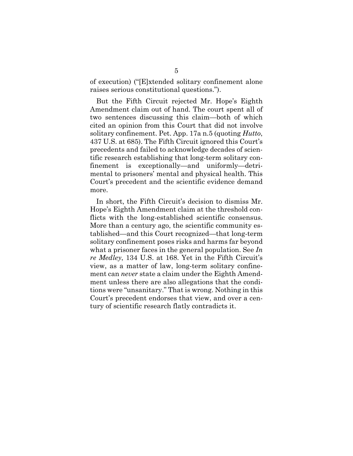of execution) ("[E]xtended solitary confinement alone raises serious constitutional questions.").

But the Fifth Circuit rejected Mr. Hope's Eighth Amendment claim out of hand. The court spent all of two sentences discussing this claim—both of which cited an opinion from this Court that did not involve solitary confinement. Pet. App. 17a n.5 (quoting *Hutto*, 437 U.S. at 685). The Fifth Circuit ignored this Court's precedents and failed to acknowledge decades of scientific research establishing that long-term solitary confinement is exceptionally—and uniformly—detrimental to prisoners' mental and physical health. This Court's precedent and the scientific evidence demand more.

In short, the Fifth Circuit's decision to dismiss Mr. Hope's Eighth Amendment claim at the threshold conflicts with the long-established scientific consensus. More than a century ago, the scientific community established—and this Court recognized—that long-term solitary confinement poses risks and harms far beyond what a prisoner faces in the general population. See *In re Medley*, 134 U.S. at 168. Yet in the Fifth Circuit's view, as a matter of law, long-term solitary confinement can *never* state a claim under the Eighth Amendment unless there are also allegations that the conditions were "unsanitary." That is wrong. Nothing in this Court's precedent endorses that view, and over a century of scientific research flatly contradicts it.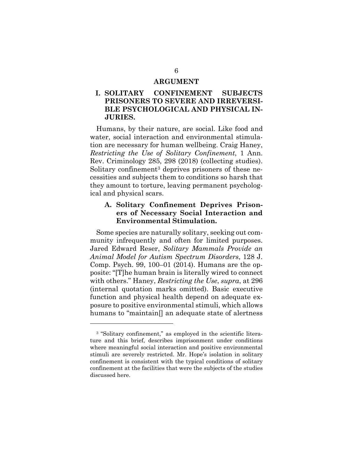#### **ARGUMENT**

### **I. SOLITARY CONFINEMENT SUBJECTS PRISONERS TO SEVERE AND IRREVERSI-BLE PSYCHOLOGICAL AND PHYSICAL IN-JURIES.**

Humans, by their nature, are social. Like food and water, social interaction and environmental stimulation are necessary for human wellbeing. Craig Haney, *Restricting the Use of Solitary Confinement*, 1 Ann. Rev. Criminology 285, 298 (2018) (collecting studies). Solitary confinement<sup>3</sup> deprives prisoners of these necessities and subjects them to conditions so harsh that they amount to torture, leaving permanent psychological and physical scars.

### **A. Solitary Confinement Deprives Prisoners of Necessary Social Interaction and Environmental Stimulation.**

Some species are naturally solitary, seeking out community infrequently and often for limited purposes. Jared Edward Reser, *Solitary Mammals Provide an Animal Model for Autism Spectrum Disorders*, 128 J. Comp. Psych. 99, 100–01 (2014). Humans are the opposite: "[T]he human brain is literally wired to connect with others." Haney, *Restricting the Use*, *supra*, at 296 (internal quotation marks omitted). Basic executive function and physical health depend on adequate exposure to positive environmental stimuli, which allows humans to "maintain[] an adequate state of alertness

<sup>&</sup>lt;sup>3</sup> "Solitary confinement," as employed in the scientific literature and this brief, describes imprisonment under conditions where meaningful social interaction and positive environmental stimuli are severely restricted. Mr. Hope's isolation in solitary confinement is consistent with the typical conditions of solitary confinement at the facilities that were the subjects of the studies discussed here.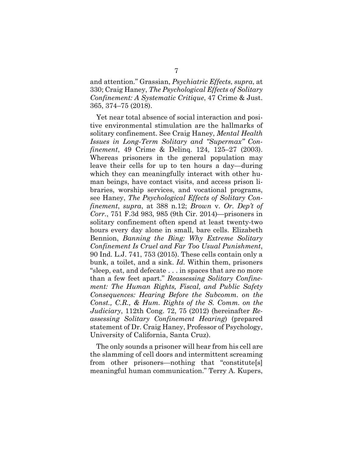and attention." Grassian, *Psychiatric Effects*, *supra*, at 330; Craig Haney, *The Psychological Effects of Solitary Confinement: A Systematic Critique*, 47 Crime & Just. 365, 374–75 (2018).

Yet near total absence of social interaction and positive environmental stimulation are the hallmarks of solitary confinement. See Craig Haney, *Mental Health Issues in Long-Term Solitary and "Supermax" Confinement*, 49 Crime & Delinq. 124, 125–27 (2003). Whereas prisoners in the general population may leave their cells for up to ten hours a day—during which they can meaningfully interact with other human beings, have contact visits, and access prison libraries, worship services, and vocational programs, see Haney, *The Psychological Effects of Solitary Confinement*, *supra*, at 388 n.12; *Brown* v. *Or. Dep't of Corr.*, 751 F.3d 983, 985 (9th Cir. 2014)—prisoners in solitary confinement often spend at least twenty-two hours every day alone in small, bare cells. Elizabeth Bennion, *Banning the Bing: Why Extreme Solitary Confinement Is Cruel and Far Too Usual Punishment*, 90 Ind. L.J. 741, 753 (2015). These cells contain only a bunk, a toilet, and a sink. *Id.* Within them, prisoners "sleep, eat, and defecate . . . in spaces that are no more than a few feet apart." *Reassessing Solitary Confinement: The Human Rights, Fiscal, and Public Safety Consequences: Hearing Before the Subcomm. on the Const., C.R., & Hum. Rights of the S. Comm. on the Judiciary*, 112th Cong. 72, 75 (2012) (hereinafter *Reassessing Solitary Confinement Hearing*) (prepared statement of Dr. Craig Haney, Professor of Psychology, University of California, Santa Cruz).

The only sounds a prisoner will hear from his cell are the slamming of cell doors and intermittent screaming from other prisoners—nothing that "constitute[s] meaningful human communication." Terry A. Kupers,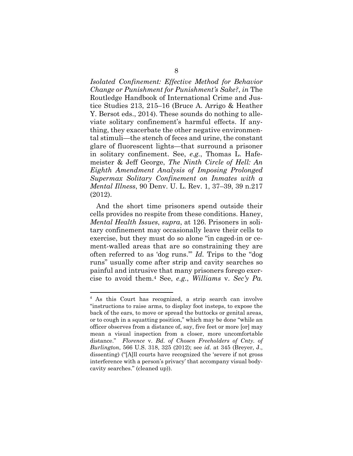*Isolated Confinement: Effective Method for Behavior Change or Punishment for Punishment's Sake?*, *in* The Routledge Handbook of International Crime and Justice Studies 213, 215–16 (Bruce A. Arrigo & Heather Y. Bersot eds., 2014). These sounds do nothing to alleviate solitary confinement's harmful effects. If anything, they exacerbate the other negative environmental stimuli—the stench of feces and urine, the constant glare of fluorescent lights—that surround a prisoner in solitary confinement. See, *e.g.*, Thomas L. Hafemeister & Jeff George, *The Ninth Circle of Hell: An Eighth Amendment Analysis of Imposing Prolonged Supermax Solitary Confinement on Inmates with a Mental Illness*, 90 Denv. U. L. Rev. 1, 37–39, 39 n.217 (2012).

And the short time prisoners spend outside their cells provides no respite from these conditions. Haney, *Mental Health Issues*, *supra*, at 126. Prisoners in solitary confinement may occasionally leave their cells to exercise, but they must do so alone "in caged-in or cement-walled areas that are so constraining they are often referred to as 'dog runs.'" *Id.* Trips to the "dog runs" usually come after strip and cavity searches so painful and intrusive that many prisoners forego exercise to avoid them.4 See, *e.g.*, *Williams* v. *Sec'y Pa.* 

<sup>4</sup> As this Court has recognized, a strip search can involve "instructions to raise arms, to display foot insteps, to expose the back of the ears, to move or spread the buttocks or genital areas, or to cough in a squatting position," which may be done "while an officer observes from a distance of, say, five feet or more [or] may mean a visual inspection from a closer, more uncomfortable distance." *Florence* v. *Bd. of Chosen Freeholders of Cnty. of Burlington*, 566 U.S. 318, 325 (2012); see *id.* at 345 (Breyer, J., dissenting) ("[A]ll courts have recognized the 'severe if not gross interference with a person's privacy' that accompany visual bodycavity searches." (cleaned up)).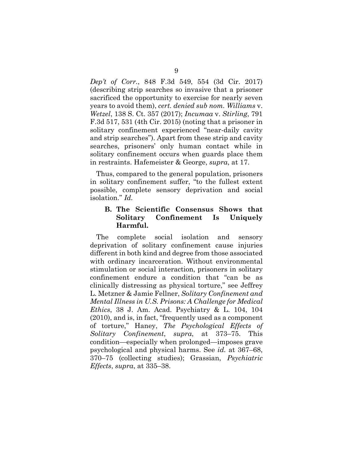*Dep't of Corr.*, 848 F.3d 549, 554 (3d Cir. 2017) (describing strip searches so invasive that a prisoner sacrificed the opportunity to exercise for nearly seven years to avoid them), *cert. denied sub nom. Williams* v. *Wetzel*, 138 S. Ct. 357 (2017); *Incumaa* v. *Stirling*, 791 F.3d 517, 531 (4th Cir. 2015) (noting that a prisoner in solitary confinement experienced "near-daily cavity and strip searches"). Apart from these strip and cavity searches, prisoners' only human contact while in solitary confinement occurs when guards place them in restraints. Hafemeister & George, *supra*, at 17.

Thus, compared to the general population, prisoners in solitary confinement suffer, "to the fullest extent possible, complete sensory deprivation and social isolation." *Id.*

### **B. The Scientific Consensus Shows that Solitary Confinement Is Uniquely Harmful.**

The complete social isolation and sensory deprivation of solitary confinement cause injuries different in both kind and degree from those associated with ordinary incarceration. Without environmental stimulation or social interaction, prisoners in solitary confinement endure a condition that "can be as clinically distressing as physical torture," see Jeffrey L. Metzner & Jamie Fellner, *Solitary Confinement and Mental Illness in U.S. Prisons: A Challenge for Medical Ethics*, 38 J. Am. Acad. Psychiatry & L. 104, 104 (2010), and is, in fact, "frequently used as a component of torture," Haney, *The Psychological Effects of Solitary Confinement*, *supra*, at 373–75. This condition—especially when prolonged—imposes grave psychological and physical harms. See *id.* at 367–68, 370–75 (collecting studies); Grassian, *Psychiatric Effects*, *supra*, at 335–38.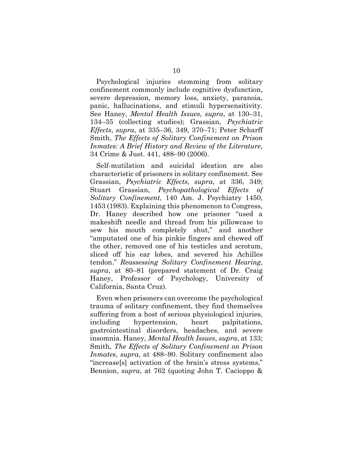Psychological injuries stemming from solitary confinement commonly include cognitive dysfunction, severe depression, memory loss, anxiety, paranoia, panic, hallucinations, and stimuli hypersensitivity. See Haney, *Mental Health Issues*, *supra*, at 130–31, 134–35 (collecting studies); Grassian, *Psychiatric Effects*, *supra*, at 335–36, 349, 370–71; Peter Scharff Smith, *The Effects of Solitary Confinement on Prison Inmates: A Brief History and Review of the Literature*, 34 Crime & Just. 441, 488–90 (2006).

Self-mutilation and suicidal ideation are also characteristic of prisoners in solitary confinement. See Grassian, *Psychiatric Effects*, *supra*, at 336, 349; Stuart Grassian, *Psychopathological Effects of Solitary Confinement*, 140 Am. J. Psychiatry 1450, 1453 (1983). Explaining this phenomenon to Congress, Dr. Haney described how one prisoner "used a makeshift needle and thread from his pillowcase to sew his mouth completely shut," and another "amputated one of his pinkie fingers and chewed off the other, removed one of his testicles and scrotum, sliced off his ear lobes, and severed his Achilles tendon." *Reassessing Solitary Confinement Hearing*, *supra*, at 80–81 (prepared statement of Dr. Craig Haney, Professor of Psychology, University of California, Santa Cruz).

Even when prisoners can overcome the psychological trauma of solitary confinement, they find themselves suffering from a host of serious physiological injuries, including hypertension, heart palpitations, gastrointestinal disorders, headaches, and severe insomnia. Haney, *Mental Health Issues*, *supra*, at 133; Smith, *The Effects of Solitary Confinement on Prison Inmates*, *supra*, at 488–90. Solitary confinement also "increase[s] activation of the brain's stress systems," Bennion, *supra*, at 762 (quoting John T. Cacioppo &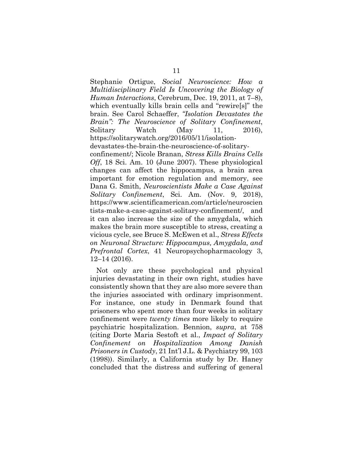Stephanie Ortigue, *Social Neuroscience: How a Multidisciplinary Field Is Uncovering the Biology of Human Interactions*, Cerebrum, Dec. 19, 2011, at 7–8), which eventually kills brain cells and "rewire[s]" the brain. See Carol Schaeffer, *"Isolation Devastates the Brain": The Neuroscience of Solitary Confinement*, Solitary Watch (May 11, 2016), https://solitarywatch.org/2016/05/11/isolationdevastates-the-brain-the-neuroscience-of-solitaryconfinement/; Nicole Branan, *Stress Kills Brains Cells Off*, 18 Sci. Am. 10 (June 2007). These physiological changes can affect the hippocampus, a brain area important for emotion regulation and memory, see Dana G. Smith, *Neuroscientists Make a Case Against Solitary Confinement*, Sci. Am. (Nov. 9, 2018), https://www.scientificamerican.com/article/neuroscien tists-make-a-case-against-solitary-confinement/, and it can also increase the size of the amygdala, which makes the brain more susceptible to stress, creating a vicious cycle, see Bruce S. McEwen et al., *Stress Effects on Neuronal Structure: Hippocampus, Amygdala, and Prefrontal Cortex*, 41 Neuropsychopharmacology 3, 12–14 (2016).

Not only are these psychological and physical injuries devastating in their own right, studies have consistently shown that they are also more severe than the injuries associated with ordinary imprisonment. For instance, one study in Denmark found that prisoners who spent more than four weeks in solitary confinement were *twenty times* more likely to require psychiatric hospitalization. Bennion, *supra*, at 758 (citing Dorte Maria Sestoft et al., *Impact of Solitary Confinement on Hospitalization Among Danish Prisoners in Custody*, 21 Int'l J.L. & Psychiatry 99, 103 (1998)). Similarly, a California study by Dr. Haney concluded that the distress and suffering of general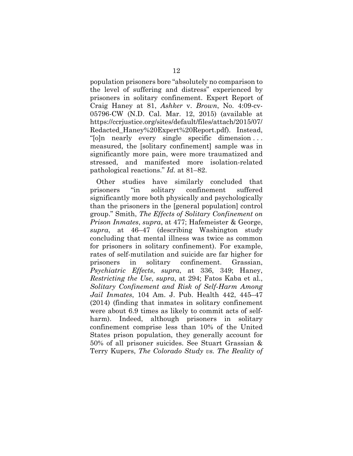population prisoners bore "absolutely no comparison to the level of suffering and distress" experienced by prisoners in solitary confinement. Expert Report of Craig Haney at 81, *Ashker* v. *Brown*, No. 4:09-cv-05796-CW (N.D. Cal. Mar. 12, 2015) (available at https://ccrjustice.org/sites/default/files/attach/2015/07/ Redacted\_Haney%20Expert%20Report.pdf). Instead, "[o]n nearly every single specific dimension . . . measured, the [solitary confinement] sample was in significantly more pain, were more traumatized and stressed, and manifested more isolation-related pathological reactions." *Id.* at 81–82.

Other studies have similarly concluded that prisoners "in solitary confinement suffered significantly more both physically and psychologically than the prisoners in the [general population] control group." Smith, *The Effects of Solitary Confinement on Prison Inmates*, *supra*, at 477; Hafemeister & George, *supra*, at 46–47 (describing Washington study concluding that mental illness was twice as common for prisoners in solitary confinement). For example, rates of self-mutilation and suicide are far higher for prisoners in solitary confinement. Grassian, *Psychiatric Effects*, *supra*, at 336, 349; Haney, *Restricting the Use*, *supra*, at 294; Fatos Kaba et al., *Solitary Confinement and Risk of Self-Harm Among Jail Inmates*, 104 Am. J. Pub. Health 442, 445–47 (2014) (finding that inmates in solitary confinement were about 6.9 times as likely to commit acts of selfharm). Indeed, although prisoners in solitary confinement comprise less than 10% of the United States prison population, they generally account for 50% of all prisoner suicides. See Stuart Grassian & Terry Kupers, *The Colorado Study vs. The Reality of*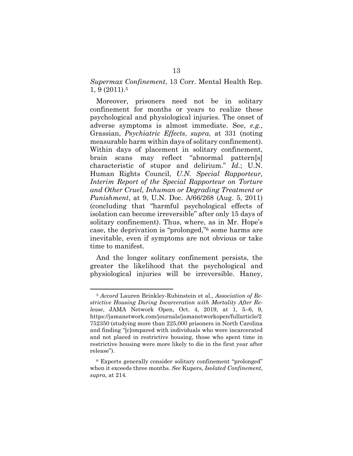*Supermax Confinement*, 13 Corr. Mental Health Rep. 1, 9 (2011).5

Moreover, prisoners need not be in solitary confinement for months or years to realize these psychological and physiological injuries. The onset of adverse symptoms is almost immediate. See, *e.g.*, Grassian, *Psychiatric Effects*, *supra*, at 331 (noting measurable harm within days of solitary confinement). Within days of placement in solitary confinement, brain scans may reflect "abnormal pattern[s] characteristic of stupor and delirium." *Id.*; U.N. Human Rights Council, *U.N. Special Rapporteur, Interim Report of the Special Rapporteur on Torture and Other Cruel, Inhuman or Degrading Treatment or Punishment*, at 9, U.N. Doc. A/66/268 (Aug. 5, 2011) (concluding that "harmful psychological effects of isolation can become irreversible" after only 15 days of solitary confinement). Thus, where, as in Mr. Hope's case, the deprivation is "prolonged,"6 some harms are inevitable, even if symptoms are not obvious or take time to manifest.

And the longer solitary confinement persists, the greater the likelihood that the psychological and physiological injuries will be irreversible. Haney,

<sup>5</sup> *Accord* Lauren Brinkley-Rubinstein et al., *Association of Restrictive Housing During Incarceration with Mortality After Release*, JAMA Network Open, Oct. 4, 2019, at 1, 5–6, 9, https://jamanetwork.com/journals/jamanetworkopen/fullarticle/2 752350 (studying more than 225,000 prisoners in North Carolina and finding "[c]ompared with individuals who were incarcerated and not placed in restrictive housing, those who spent time in restrictive housing were more likely to die in the first year after release").

<sup>6</sup> Experts generally consider solitary confinement "prolonged" when it exceeds three months. *See* Kupers, *Isolated Confinement*, *supra*, at 214.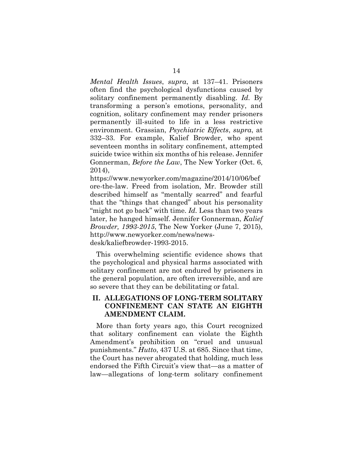*Mental Health Issues*, *supra*, at 137–41. Prisoners often find the psychological dysfunctions caused by solitary confinement permanently disabling. *Id.* By transforming a person's emotions, personality, and cognition, solitary confinement may render prisoners permanently ill-suited to life in a less restrictive environment. Grassian, *Psychiatric Effects*, *supra*, at 332–33. For example, Kalief Browder, who spent seventeen months in solitary confinement, attempted suicide twice within six months of his release. Jennifer Gonnerman, *Before the Law*, The New Yorker (Oct. 6, 2014),

https://www.newyorker.com/magazine/2014/10/06/bef ore-the-law. Freed from isolation, Mr. Browder still described himself as "mentally scarred" and fearful that the "things that changed" about his personality "might not go back" with time. *Id.* Less than two years later, he hanged himself. Jennifer Gonnerman, *Kalief Browder, 1993-2015*, The New Yorker (June 7, 2015), http://www.newyorker.com/news/newsdesk/kaliefbrowder-1993-2015.

This overwhelming scientific evidence shows that the psychological and physical harms associated with solitary confinement are not endured by prisoners in the general population, are often irreversible, and are so severe that they can be debilitating or fatal.

### **II. ALLEGATIONS OF LONG-TERM SOLITARY CONFINEMENT CAN STATE AN EIGHTH AMENDMENT CLAIM.**

More than forty years ago, this Court recognized that solitary confinement can violate the Eighth Amendment's prohibition on "cruel and unusual punishments." *Hutto*, 437 U.S. at 685. Since that time, the Court has never abrogated that holding, much less endorsed the Fifth Circuit's view that—as a matter of law—allegations of long-term solitary confinement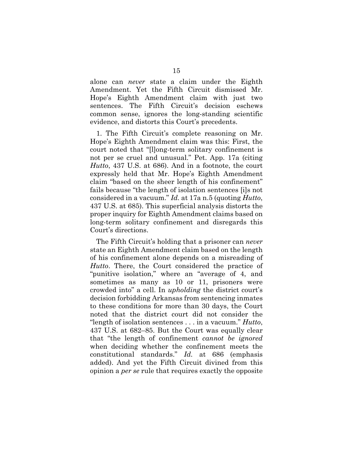alone can *never* state a claim under the Eighth Amendment. Yet the Fifth Circuit dismissed Mr. Hope's Eighth Amendment claim with just two sentences. The Fifth Circuit's decision eschews common sense, ignores the long-standing scientific evidence, and distorts this Court's precedents.

1. The Fifth Circuit's complete reasoning on Mr. Hope's Eighth Amendment claim was this: First, the court noted that "[l]ong-term solitary confinement is not per se cruel and unusual." Pet. App. 17a (citing *Hutto*, 437 U.S. at 686). And in a footnote, the court expressly held that Mr. Hope's Eighth Amendment claim "based on the sheer length of his confinement" fails because "the length of isolation sentences [i]s not considered in a vacuum." *Id.* at 17a n.5 (quoting *Hutto*, 437 U.S. at 685). This superficial analysis distorts the proper inquiry for Eighth Amendment claims based on long-term solitary confinement and disregards this Court's directions.

The Fifth Circuit's holding that a prisoner can *never* state an Eighth Amendment claim based on the length of his confinement alone depends on a misreading of *Hutto*. There, the Court considered the practice of "punitive isolation," where an "average of 4, and sometimes as many as 10 or 11, prisoners were crowded into" a cell. In *upholding* the district court's decision forbidding Arkansas from sentencing inmates to these conditions for more than 30 days, the Court noted that the district court did not consider the "length of isolation sentences . . . in a vacuum." *Hutto*, 437 U.S. at 682–85. But the Court was equally clear that "the length of confinement *cannot be ignored* when deciding whether the confinement meets the constitutional standards." *Id.* at 686 (emphasis added). And yet the Fifth Circuit divined from this opinion a *per se* rule that requires exactly the opposite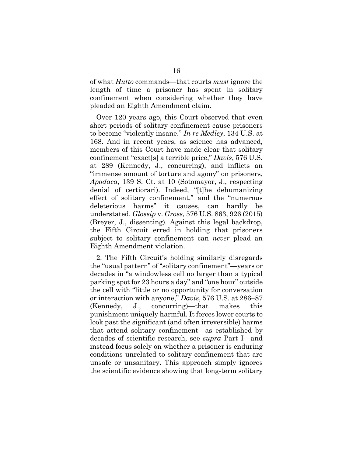of what *Hutto* commands—that courts *must* ignore the length of time a prisoner has spent in solitary confinement when considering whether they have pleaded an Eighth Amendment claim.

Over 120 years ago, this Court observed that even short periods of solitary confinement cause prisoners to become "violently insane." *In re Medley*, 134 U.S. at 168. And in recent years, as science has advanced, members of this Court have made clear that solitary confinement "exact[s] a terrible price," *Davis*, 576 U.S. at 289 (Kennedy, J., concurring), and inflicts an "immense amount of torture and agony" on prisoners, *Apodaca*, 139 S. Ct. at 10 (Sotomayor, J., respecting denial of certiorari). Indeed, "[t]he dehumanizing effect of solitary confinement," and the "numerous deleterious harms" it causes, can hardly be understated. *Glossip* v. *Gross*, 576 U.S. 863, 926 (2015) (Breyer, J., dissenting). Against this legal backdrop, the Fifth Circuit erred in holding that prisoners subject to solitary confinement can *never* plead an Eighth Amendment violation.

2. The Fifth Circuit's holding similarly disregards the "usual pattern" of "solitary confinement"—years or decades in "a windowless cell no larger than a typical parking spot for 23 hours a day" and "one hour" outside the cell with "little or no opportunity for conversation or interaction with anyone," *Davis*, 576 U.S. at 286–87 (Kennedy, J., concurring)—that makes this punishment uniquely harmful. It forces lower courts to look past the significant (and often irreversible) harms that attend solitary confinement—as established by decades of scientific research, see *supra* Part I—and instead focus solely on whether a prisoner is enduring conditions unrelated to solitary confinement that are unsafe or unsanitary. This approach simply ignores the scientific evidence showing that long-term solitary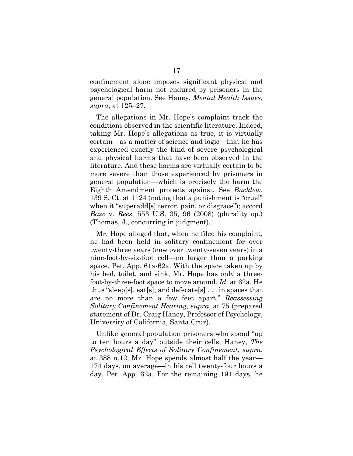confinement alone imposes significant physical and psychological harm not endured by prisoners in the general population. See Haney, *Mental Health Issues*, *supra*, at 125–27.

The allegations in Mr. Hope's complaint track the conditions observed in the scientific literature. Indeed, taking Mr. Hope's allegations as true, it is virtually certain—as a matter of science and logic—that he has experienced exactly the kind of severe psychological and physical harms that have been observed in the literature. And these harms are virtually certain to be more severe than those experienced by prisoners in general population—which is precisely the harm the Eighth Amendment protects against. See *Bucklew*, 139 S. Ct. at 1124 (noting that a punishment is "cruel" when it "superadd[s] terror, pain, or disgrace"); accord *Baze* v. *Rees*, 553 U.S. 35, 96 (2008) (plurality op.) (Thomas, J., concurring in judgment).

Mr. Hope alleged that, when he filed his complaint, he had been held in solitary confinement for over twenty-three years (now over twenty-seven years) in a nine-foot-by-six-foot cell—no larger than a parking space. Pet. App. 61a-62a. With the space taken up by his bed, toilet, and sink, Mr. Hope has only a threefoot-by-three-foot space to move around. *Id.* at 62a. He thus "sleep[s], eat[s], and defecate[s] . . . in spaces that are no more than a few feet apart." *Reassessing Solitary Confinement Hearing*, *supra*, at 75 (prepared statement of Dr. Craig Haney, Professor of Psychology, University of California, Santa Cruz).

Unlike general population prisoners who spend "up to ten hours a day" outside their cells, Haney, *The Psychological Effects of Solitary Confinement*, *supra*, at 388 n.12, Mr. Hope spends almost half the year— 174 days, on average—in his cell twenty-four hours a day. Pet. App. 62a. For the remaining 191 days, he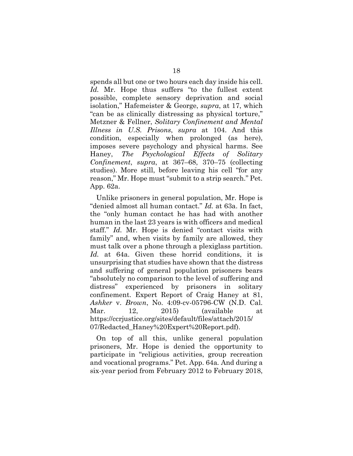spends all but one or two hours each day inside his cell. *Id.* Mr. Hope thus suffers "to the fullest extent possible, complete sensory deprivation and social isolation," Hafemeister & George, *supra*, at 17, which "can be as clinically distressing as physical torture," Metzner & Fellner, *Solitary Confinement and Mental Illness in U.S. Prisons*, *supra* at 104. And this condition, especially when prolonged (as here), imposes severe psychology and physical harms. See Haney, *The Psychological Effects of Solitary Confinement*, *supra*, at 367–68, 370–75 (collecting studies). More still, before leaving his cell "for any reason," Mr. Hope must "submit to a strip search." Pet. App. 62a.

Unlike prisoners in general population, Mr. Hope is "denied almost all human contact." *Id.* at 63a. In fact, the "only human contact he has had with another human in the last 23 years is with officers and medical staff." *Id.* Mr. Hope is denied "contact visits with family" and, when visits by family are allowed, they must talk over a phone through a plexiglass partition. *Id.* at 64a. Given these horrid conditions, it is unsurprising that studies have shown that the distress and suffering of general population prisoners bears "absolutely no comparison to the level of suffering and distress" experienced by prisoners in solitary confinement. Expert Report of Craig Haney at 81, *Ashker* v. *Brown*, No. 4:09-cv-05796-CW (N.D. Cal. Mar. 12, 2015) (available at https://ccrjustice.org/sites/default/files/attach/2015/ 07/Redacted\_Haney%20Expert%20Report.pdf).

On top of all this, unlike general population prisoners, Mr. Hope is denied the opportunity to participate in "religious activities, group recreation and vocational programs." Pet. App. 64a*.* And during a six-year period from February 2012 to February 2018,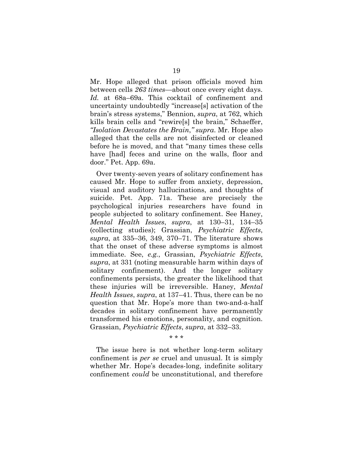Mr. Hope alleged that prison officials moved him between cells *263 times*—about once every eight days. *Id.* at 68a–69a. This cocktail of confinement and uncertainty undoubtedly "increase[s] activation of the brain's stress systems," Bennion, *supra*, at 762, which kills brain cells and "rewire[s] the brain," Schaeffer, *"Isolation Devastates the Brain*,*" supra*. Mr. Hope also alleged that the cells are not disinfected or cleaned before he is moved, and that "many times these cells have [had] feces and urine on the walls, floor and door." Pet. App. 69a.

Over twenty-seven years of solitary confinement has caused Mr. Hope to suffer from anxiety, depression, visual and auditory hallucinations, and thoughts of suicide. Pet. App. 71a. These are precisely the psychological injuries researchers have found in people subjected to solitary confinement. See Haney, *Mental Health Issues*, *supra*, at 130–31, 134–35 (collecting studies); Grassian, *Psychiatric Effects*, *supra*, at 335–36, 349, 370–71. The literature shows that the onset of these adverse symptoms is almost immediate. See, *e.g.*, Grassian, *Psychiatric Effects*, *supra*, at 331 (noting measurable harm within days of solitary confinement). And the longer solitary confinements persists, the greater the likelihood that these injuries will be irreversible. Haney, *Mental Health Issues*, *supra*, at 137–41. Thus, there can be no question that Mr. Hope's more than two-and-a-half decades in solitary confinement have permanently transformed his emotions, personality, and cognition. Grassian, *Psychiatric Effects*, *supra*, at 332–33.

\* \* \*

The issue here is not whether long-term solitary confinement is *per se* cruel and unusual. It is simply whether Mr. Hope's decades-long, indefinite solitary confinement *could* be unconstitutional, and therefore